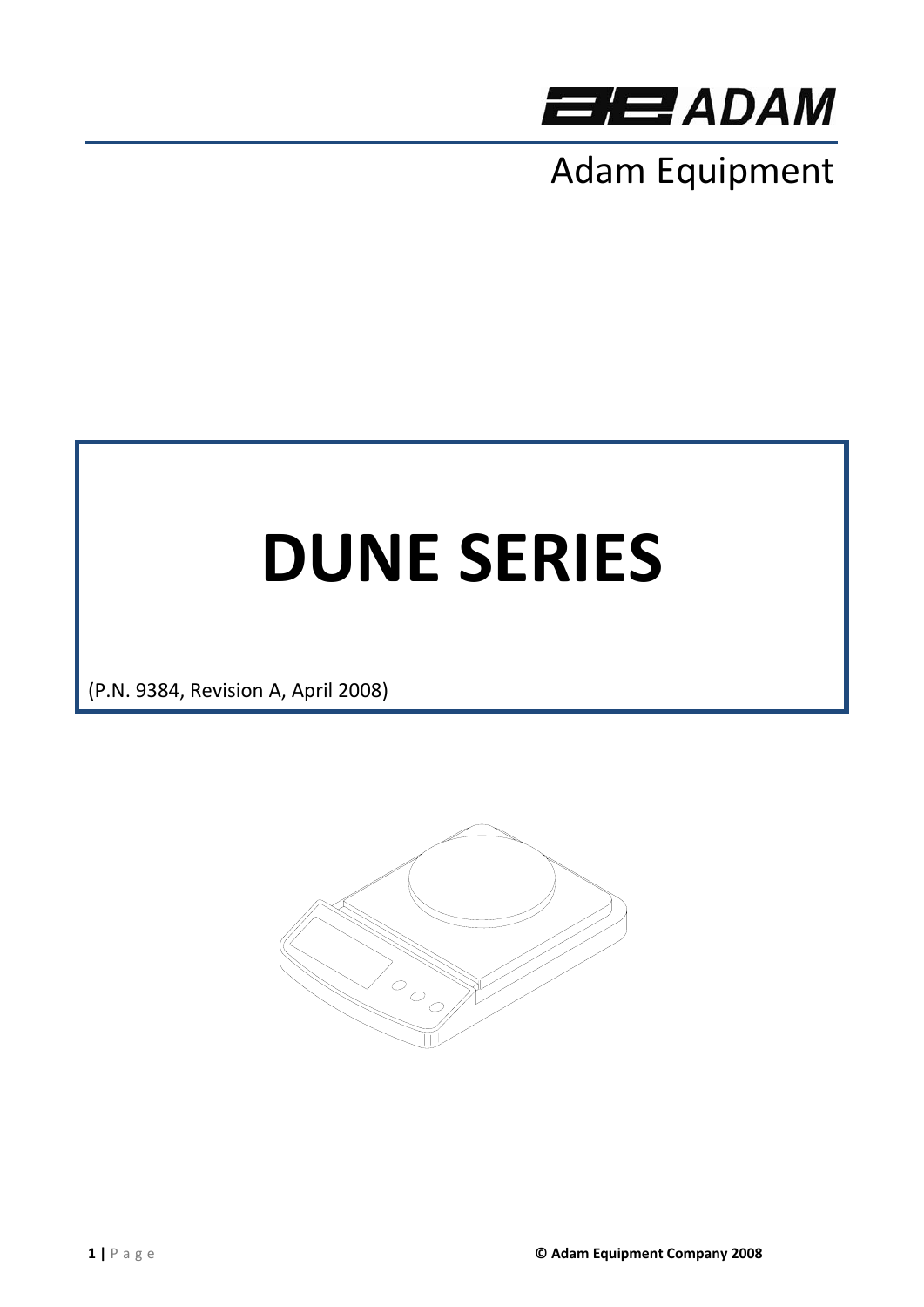

Adam Equipment

# **DUNE SERIES**

(P.N. 9384, Revision A, April 2008)

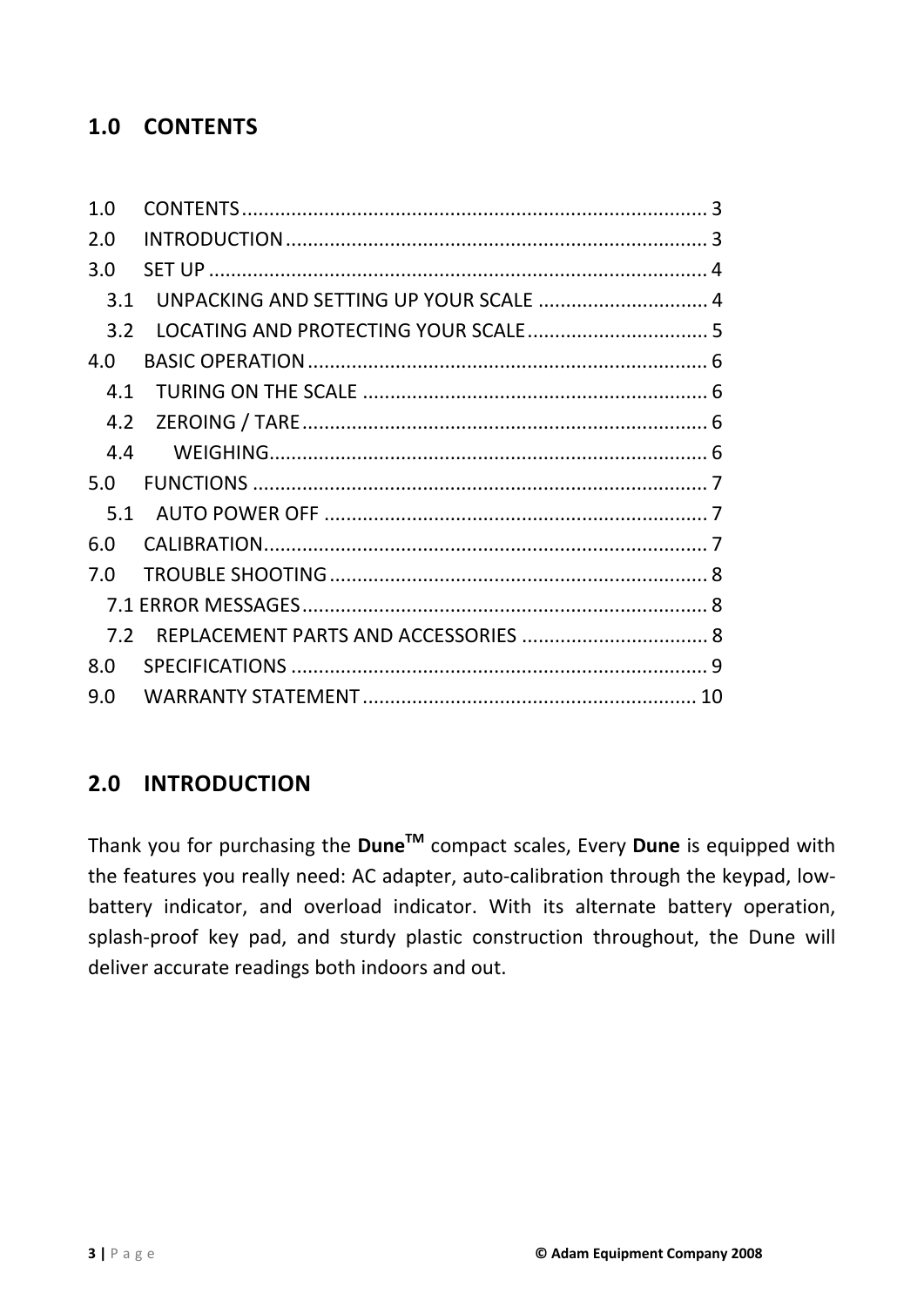# <span id="page-2-0"></span>**1.0 CONTENTS**

| 1.0 |                                        |  |
|-----|----------------------------------------|--|
| 2.0 |                                        |  |
| 3.0 |                                        |  |
| 3.1 | UNPACKING AND SETTING UP YOUR SCALE  4 |  |
| 3.2 |                                        |  |
| 4.0 |                                        |  |
| 4.1 |                                        |  |
| 4.2 |                                        |  |
| 4.4 |                                        |  |
| 5.0 |                                        |  |
| 5.1 |                                        |  |
| 6.0 |                                        |  |
| 7.0 |                                        |  |
|     |                                        |  |
| 7.2 |                                        |  |
| 8.0 |                                        |  |
| 9.0 |                                        |  |

# **2.0 INTRODUCTION**

Thank you for purchasing the **DuneTM** compact scales, Every **Dune** is equipped with the features you really need: AC adapter, auto-calibration through the keypad, lowbattery indicator, and overload indicator. With its alternate battery operation, splash‐proof key pad, and sturdy plastic construction throughout, the Dune will deliver accurate readings both indoors and out.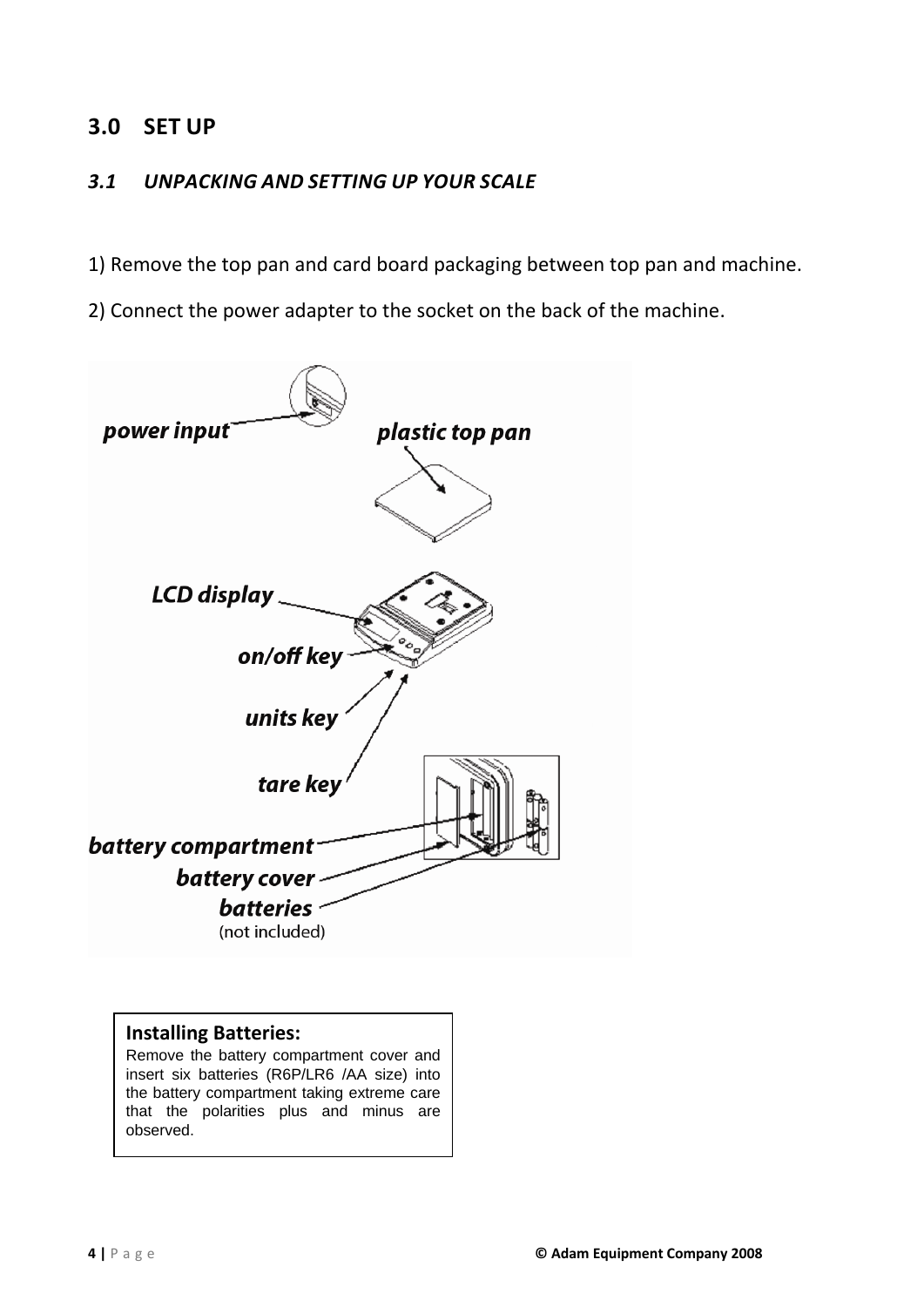## <span id="page-3-0"></span>**3.0 SET UP**

#### *3.1 UNPACKING AND SETTING UP YOUR SCALE*

1) Remove the top pan and card board packaging between top pan and machine.

2) Connect the power adapter to the socket on the back of the machine.



#### **Installing Batteries:**

Remove the battery compartment cover and insert six batteries (R6P/LR6 /AA size) into the battery compartment taking extreme care that the polarities plus and minus are observed.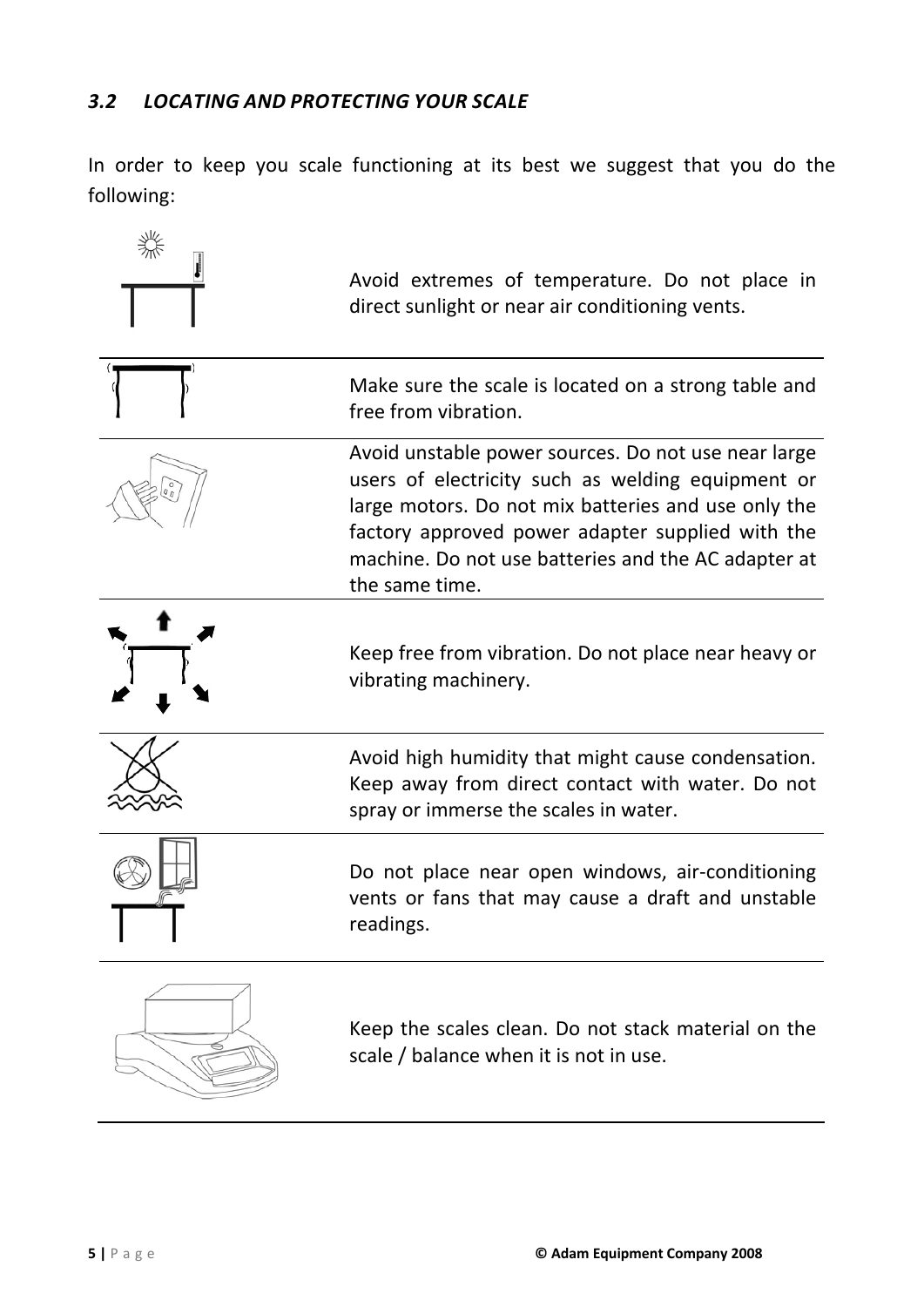## <span id="page-4-0"></span>*3.2 LOCATING AND PROTECTING YOUR SCALE*

In order to keep you scale functioning at its best we suggest that you do the following:

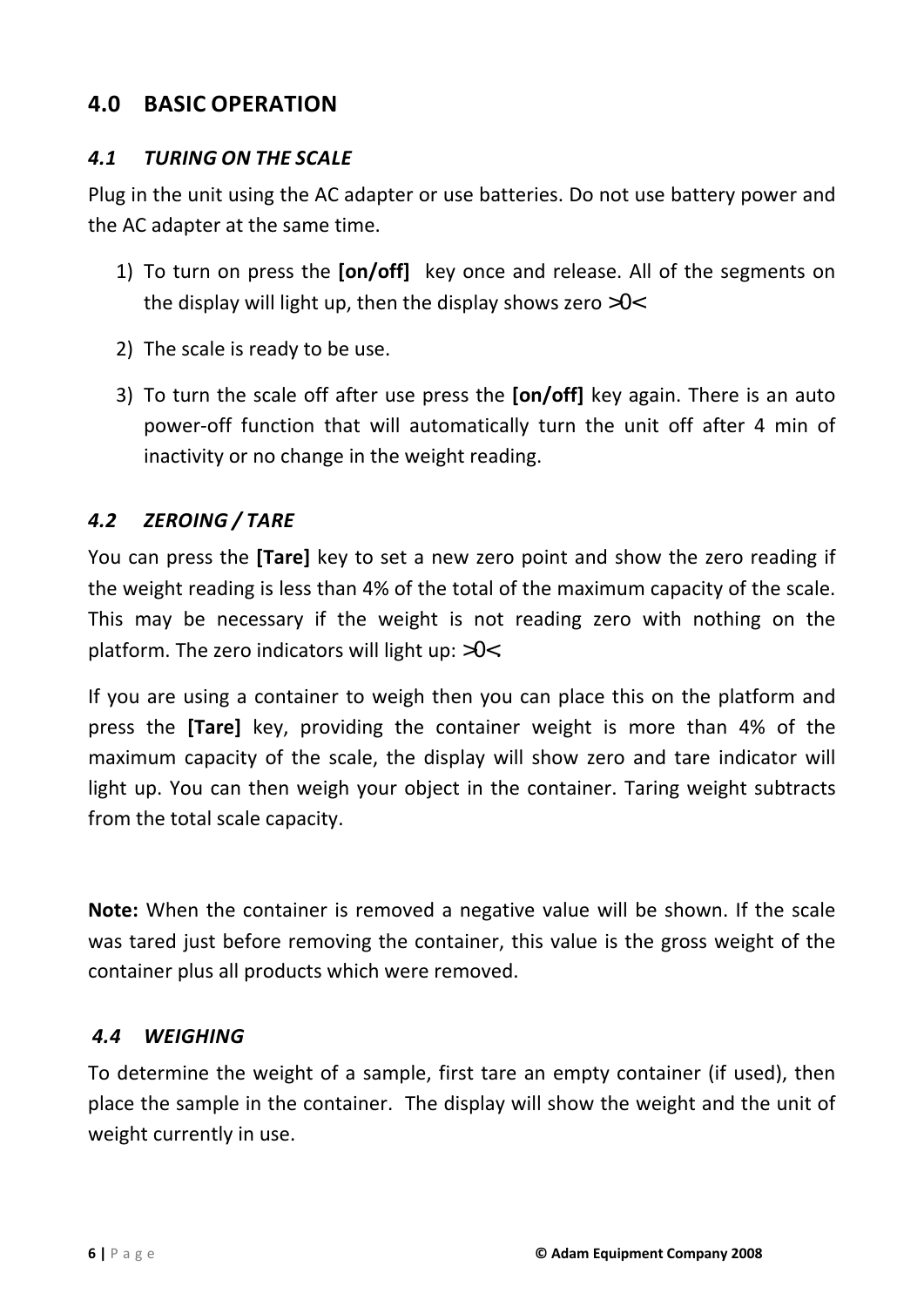# <span id="page-5-0"></span>**4.0 BASIC OPERATION**

### *4.1 TURING ON THE SCALE*

Plug in the unit using the AC adapter or use batteries. Do not use battery power and the AC adapter at the same time.

- 1) To turn on press the **[on/off]**  key once and release. All of the segments on the display will light up, then the display shows zero >0<
- 2) The scale is ready to be use.
- 3) To turn the scale off after use press the **[on/off]** key again. There is an auto power‐off function that will automatically turn the unit off after 4 min of inactivity or no change in the weight reading.

### *4.2 ZEROING / TARE*

You can press the **[Tare]** key to set a new zero point and show the zero reading if the weight reading is less than 4% of the total of the maximum capacity of the scale. This may be necessary if the weight is not reading zero with nothing on the platform. The zero indicators will light up:  $>0$ <.

If you are using a container to weigh then you can place this on the platform and press the **[Tare]** key, providing the container weight is more than 4% of the maximum capacity of the scale, the display will show zero and tare indicator will light up. You can then weigh your object in the container. Taring weight subtracts from the total scale capacity.

**Note:** When the container is removed a negative value will be shown. If the scale was tared just before removing the container, this value is the gross weight of the container plus all products which were removed.

#### *4.4 WEIGHING*

To determine the weight of a sample, first tare an empty container (if used), then place the sample in the container. The display will show the weight and the unit of weight currently in use.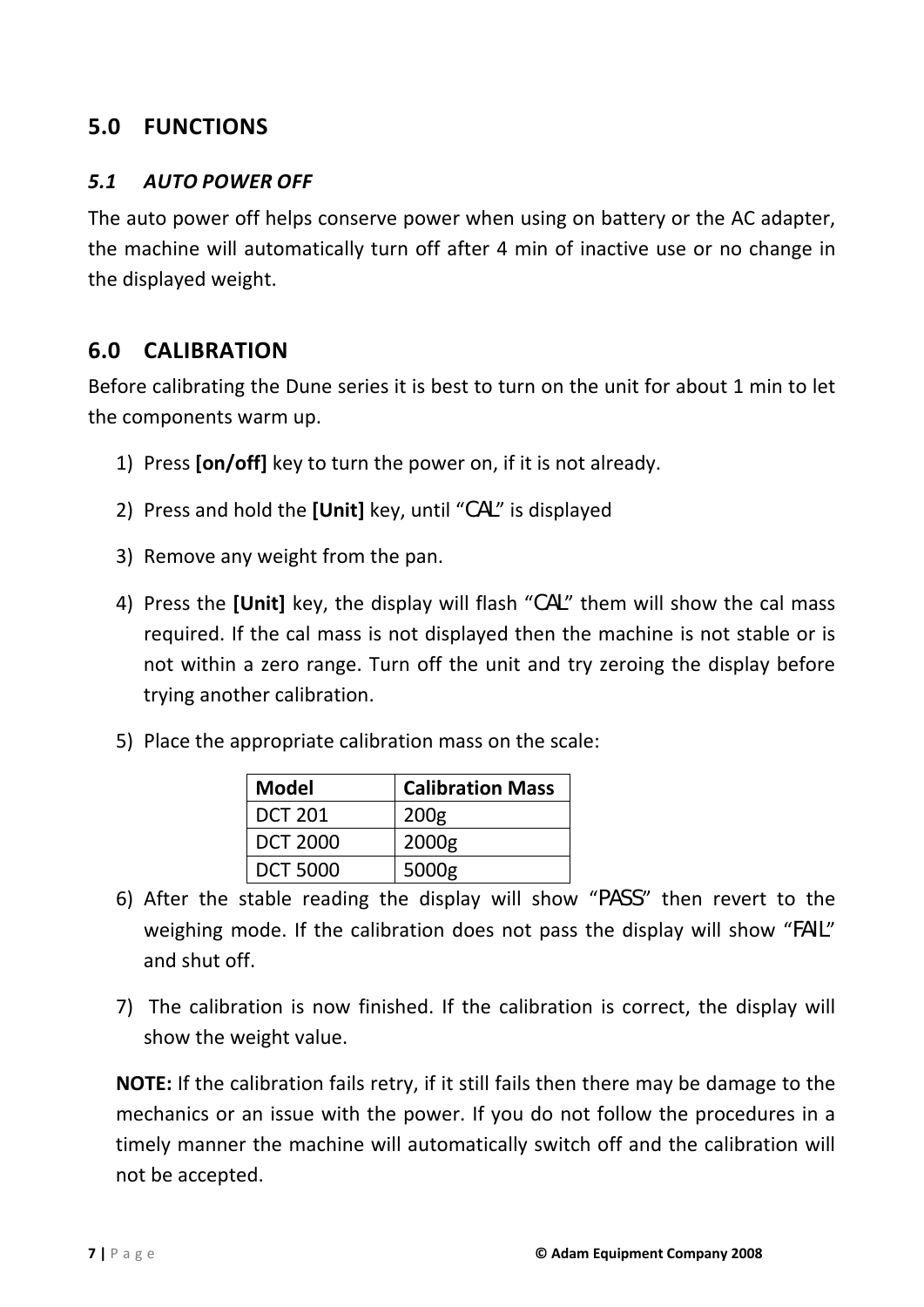# <span id="page-6-0"></span>**5.0 FUNCTIONS**

## *5.1 AUTO POWER OFF*

The auto power off helps conserve power when using on battery or the AC adapter, the machine will automatically turn off after 4 min of inactive use or no change in the displayed weight.

# **6.0 CALIBRATION**

Before calibrating the Dune series it is best to turn on the unit for about 1 min to let the components warm up.

- 1) Press **[on/off]** key to turn the power on, if it is not already.
- 2) Press and hold the **[Unit]** key, until "CAL" is displayed
- 3) Remove any weight from the pan.
- 4) Press the **[Unit]** key, the display will flash "CAL" them will show the cal mass required. If the cal mass is not displayed then the machine is not stable or is not within a zero range. Turn off the unit and try zeroing the display before trying another calibration.
- 5) Place the appropriate calibration mass on the scale:

| <b>Model</b>    | <b>Calibration Mass</b> |  |
|-----------------|-------------------------|--|
| <b>DCT 201</b>  | 200 <sub>g</sub>        |  |
| <b>DCT 2000</b> | 2000g                   |  |
| <b>DCT 5000</b> | 5000g                   |  |

- 6) After the stable reading the display will show "PASS" then revert to the weighing mode. If the calibration does not pass the display will show "**FAIL**" and shut off.
- 7) The calibration is now finished. If the calibration is correct, the display will show the weight value.

**NOTE:** If the calibration fails retry, if it still fails then there may be damage to the mechanics or an issue with the power. If you do not follow the procedures in a timely manner the machine will automatically switch off and the calibration will not be accepted.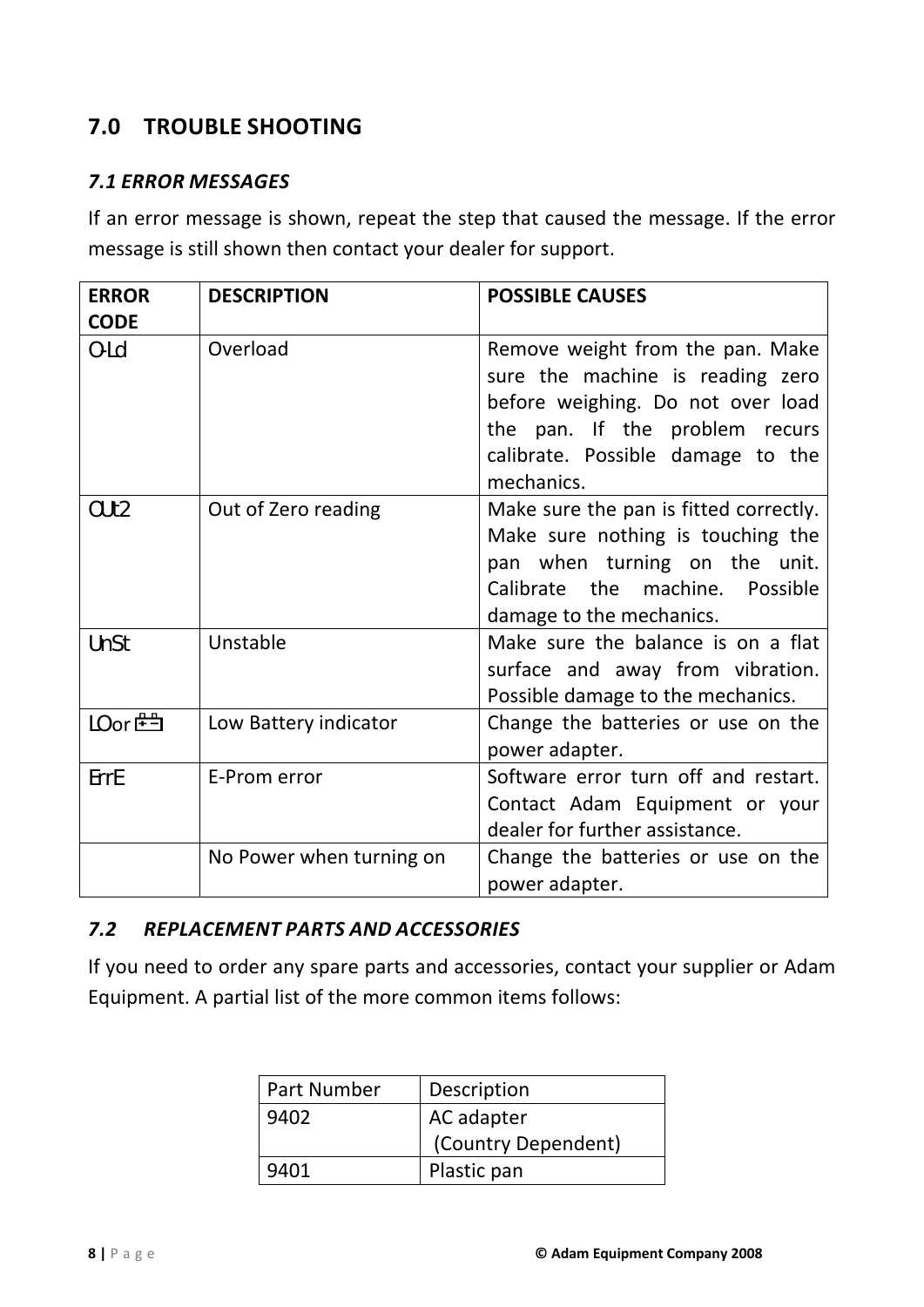# <span id="page-7-0"></span>**7.0 TROUBLE SHOOTING**

#### *7.1 ERROR MESSAGES*

If an error message is shown, repeat the step that caused the message. If the error message is still shown then contact your dealer for support.

| <b>ERROR</b><br><b>CODE</b> | <b>DESCRIPTION</b>       | <b>POSSIBLE CAUSES</b>                                                                                                                                                                         |  |
|-----------------------------|--------------------------|------------------------------------------------------------------------------------------------------------------------------------------------------------------------------------------------|--|
| $0 - Ld$                    | Overload                 | Remove weight from the pan. Make<br>sure the machine is reading zero<br>before weighing. Do not over load<br>the pan. If the problem recurs<br>calibrate. Possible damage to the<br>mechanics. |  |
| OUt <sub>2</sub>            | Out of Zero reading      | Make sure the pan is fitted correctly.<br>Make sure nothing is touching the<br>pan when turning on the unit.<br>Calibrate the machine. Possible<br>damage to the mechanics.                    |  |
| <b>UnSt</b>                 | Unstable                 | Make sure the balance is on a flat<br>surface and away from vibration.<br>Possible damage to the mechanics.                                                                                    |  |
| $LO$ or $E =$               | Low Battery indicator    | Change the batteries or use on the<br>power adapter.                                                                                                                                           |  |
| <b>ErrE</b>                 | E-Prom error             | Software error turn off and restart.<br>Contact Adam Equipment or your<br>dealer for further assistance.                                                                                       |  |
|                             | No Power when turning on | Change the batteries or use on the<br>power adapter.                                                                                                                                           |  |

#### *7.2 REPLACEMENT PARTS AND ACCESSORIES*

If you need to order any spare parts and accessories, contact your supplier or Adam Equipment. A partial list of the more common items follows:

| Part Number | Description         |  |
|-------------|---------------------|--|
| 9402        | AC adapter          |  |
|             | (Country Dependent) |  |
| 9401        | Plastic pan         |  |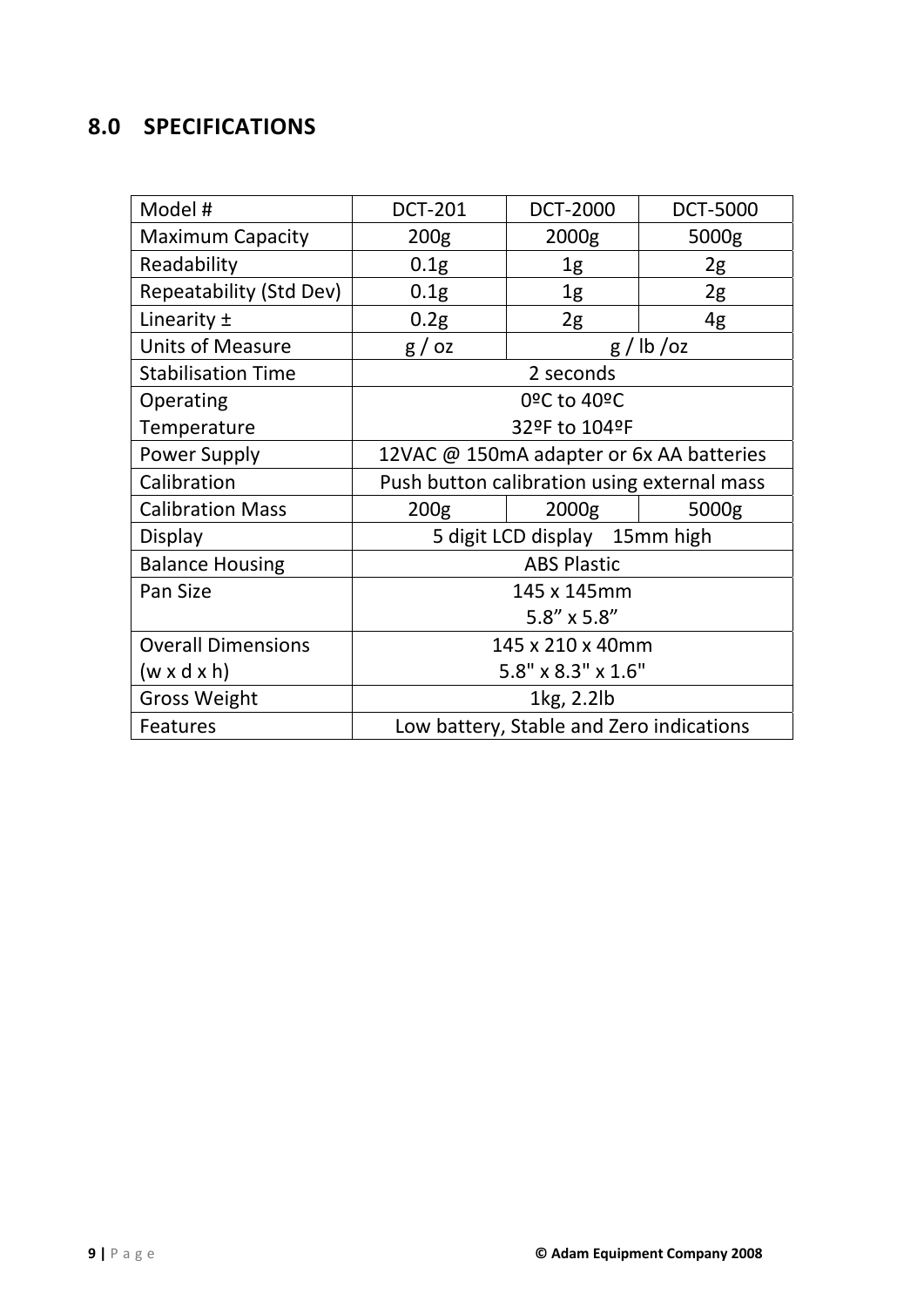# <span id="page-8-0"></span>**8.0 SPECIFICATIONS**

| Model #                   | <b>DCT-201</b>                              | <b>DCT-2000</b>   | <b>DCT-5000</b> |  |
|---------------------------|---------------------------------------------|-------------------|-----------------|--|
| <b>Maximum Capacity</b>   | 200 <sub>g</sub>                            | 2000g             | 5000g           |  |
| Readability               | 0.1 <sub>g</sub>                            | 1g                | 2g              |  |
| Repeatability (Std Dev)   | 0.1 <sub>g</sub>                            | 1g                | 2g              |  |
| Linearity ±               | 0.2g                                        | 2g                | 4g              |  |
| <b>Units of Measure</b>   | g / oz                                      | $g$ / lb /oz      |                 |  |
| <b>Stabilisation Time</b> | 2 seconds                                   |                   |                 |  |
| Operating                 | 0ºC to 40°C                                 |                   |                 |  |
| Temperature               | 32ºF to 104ºF                               |                   |                 |  |
| Power Supply              | 12VAC @ 150mA adapter or 6x AA batteries    |                   |                 |  |
| Calibration               | Push button calibration using external mass |                   |                 |  |
| <b>Calibration Mass</b>   | 200 <sub>g</sub>                            | 2000 <sub>g</sub> | 5000g           |  |
| Display                   | 5 digit LCD display 15mm high               |                   |                 |  |
| <b>Balance Housing</b>    | <b>ABS Plastic</b>                          |                   |                 |  |
| Pan Size                  | 145 x 145mm                                 |                   |                 |  |
|                           | $5.8'' \times 5.8''$                        |                   |                 |  |
| <b>Overall Dimensions</b> | 145 x 210 x 40mm                            |                   |                 |  |
| $(w \times d \times h)$   | 5.8" x 8.3" x 1.6"                          |                   |                 |  |
| <b>Gross Weight</b>       | 1kg, 2.2lb                                  |                   |                 |  |
| Features                  | Low battery, Stable and Zero indications    |                   |                 |  |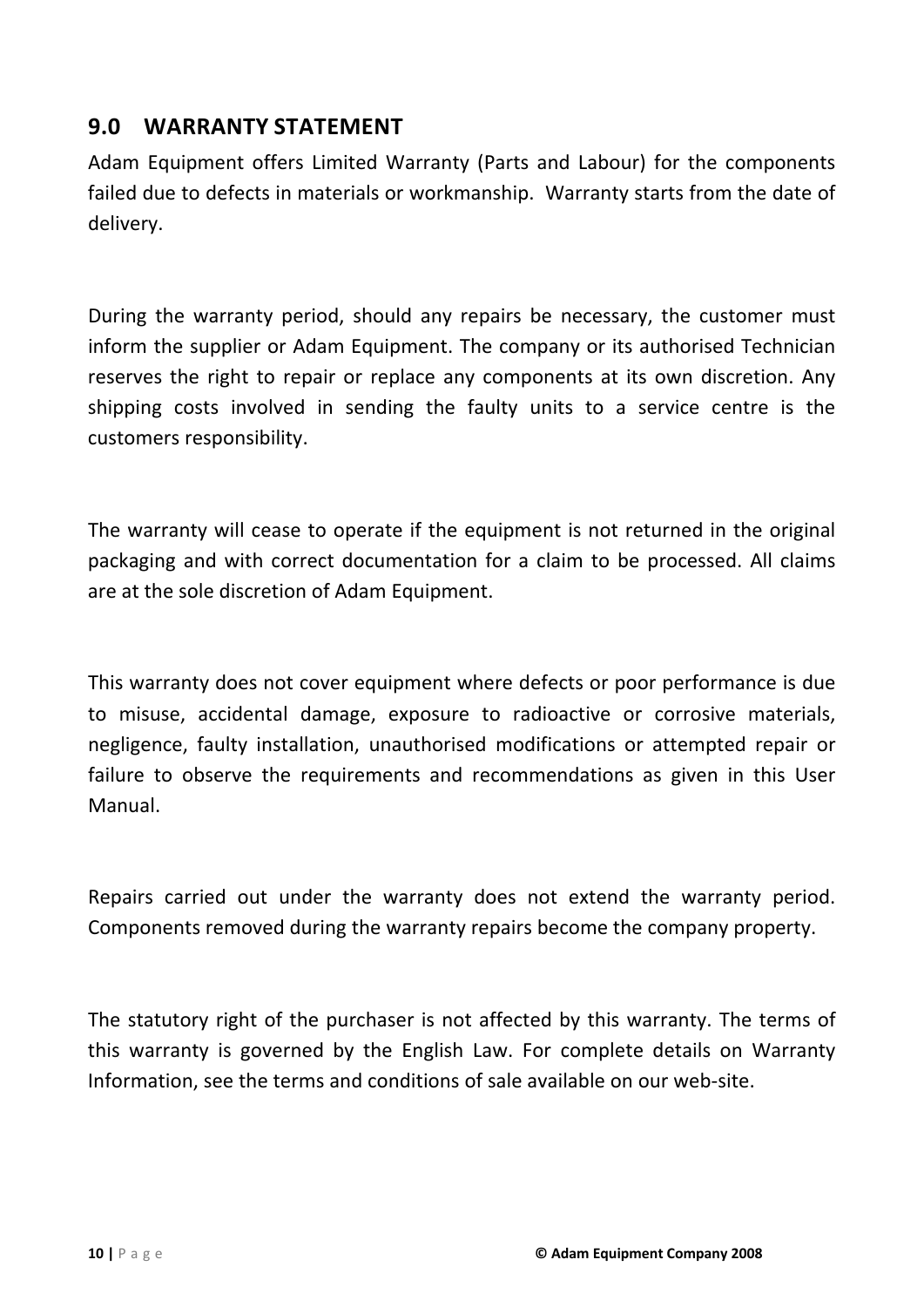# <span id="page-9-0"></span>**9.0 WARRANTY STATEMENT**

Adam Equipment offers Limited Warranty (Parts and Labour) for the components failed due to defects in materials or workmanship. Warranty starts from the date of delivery.

During the warranty period, should any repairs be necessary, the customer must inform the supplier or Adam Equipment. The company or its authorised Technician reserves the right to repair or replace any components at its own discretion. Any shipping costs involved in sending the faulty units to a service centre is the customers responsibility.

The warranty will cease to operate if the equipment is not returned in the original packaging and with correct documentation for a claim to be processed. All claims are at the sole discretion of Adam Equipment.

This warranty does not cover equipment where defects or poor performance is due to misuse, accidental damage, exposure to radioactive or corrosive materials, negligence, faulty installation, unauthorised modifications or attempted repair or failure to observe the requirements and recommendations as given in this User Manual.

Repairs carried out under the warranty does not extend the warranty period. Components removed during the warranty repairs become the company property.

The statutory right of the purchaser is not affected by this warranty. The terms of this warranty is governed by the English Law. For complete details on Warranty Information, see the terms and conditions of sale available on our web‐site.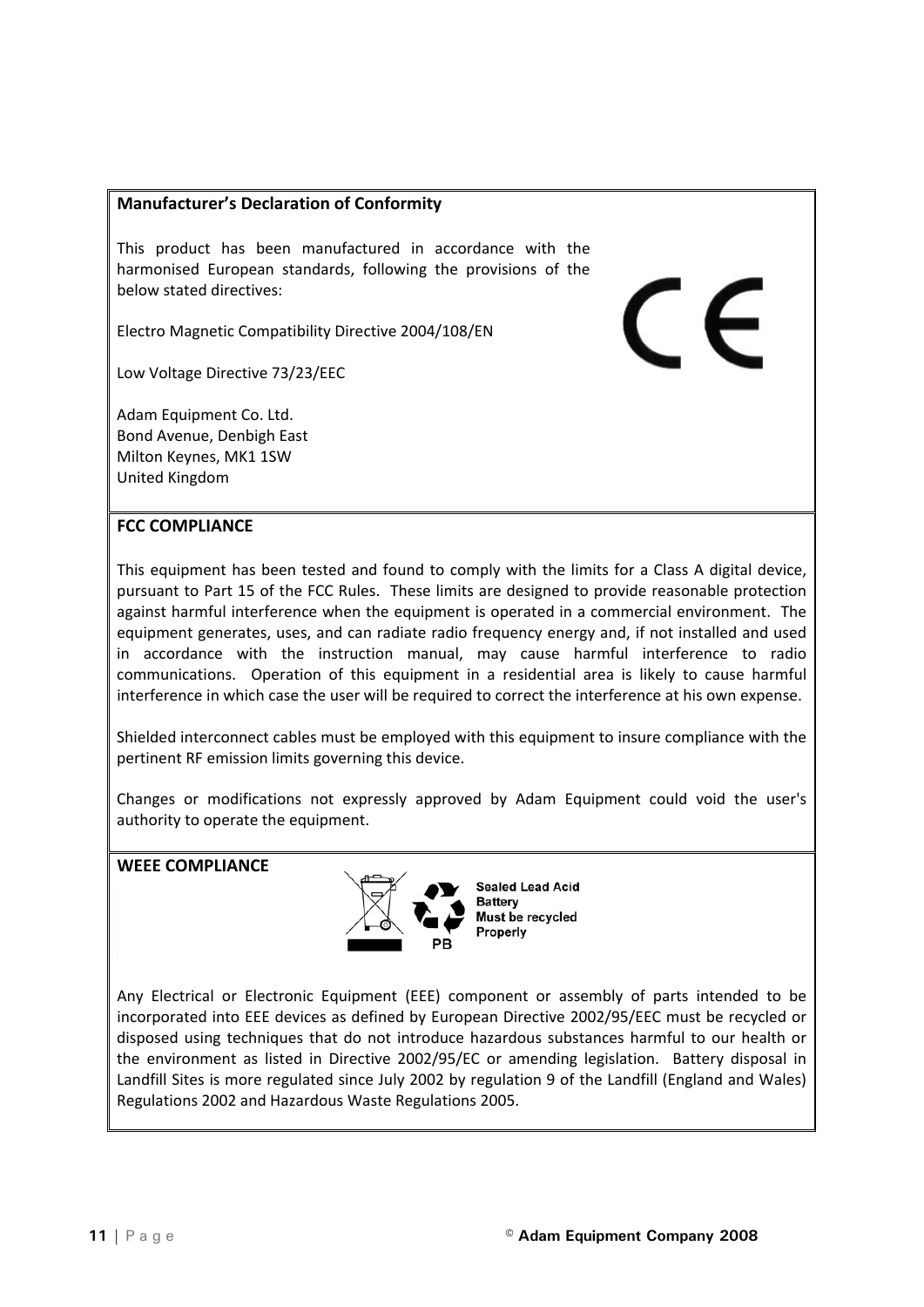#### **Manufacturer's Declaration of Conformity**

This product has been manufactured in accordance with the harmonised European standards, following the provisions of the below stated directives:

Electro Magnetic Compatibility Directive 2004/108/EN

Low Voltage Directive 73/23/EEC

Adam Equipment Co. Ltd. Bond Avenue, Denbigh East Milton Keynes, MK1 1SW United Kingdom

#### **FCC COMPLIANCE**

This equipment has been tested and found to comply with the limits for a Class A digital device, pursuant to Part 15 of the FCC Rules. These limits are designed to provide reasonable protection against harmful interference when the equipment is operated in a commercial environment. The equipment generates, uses, and can radiate radio frequency energy and, if not installed and used in accordance with the instruction manual, may cause harmful interference to radio communications. Operation of this equipment in a residential area is likely to cause harmful interference in which case the user will be required to correct the interference at his own expense.

Shielded interconnect cables must be employed with this equipment to insure compliance with the pertinent RF emission limits governing this device.

Changes or modifications not expressly approved by Adam Equipment could void the user's authority to operate the equipment.

#### **WEEE COMPLIANCE**



**Sealed Lead Acid Battery** Must be recycled Properly

Any Electrical or Electronic Equipment (EEE) component or assembly of parts intended to be incorporated into EEE devices as defined by European Directive 2002/95/EEC must be recycled or disposed using techniques that do not introduce hazardous substances harmful to our health or the environment as listed in Directive 2002/95/EC or amending legislation. Battery disposal in Landfill Sites is more regulated since July 2002 by regulation 9 of the Landfill (England and Wales) Regulations 2002 and Hazardous Waste Regulations 2005.

 $\in$